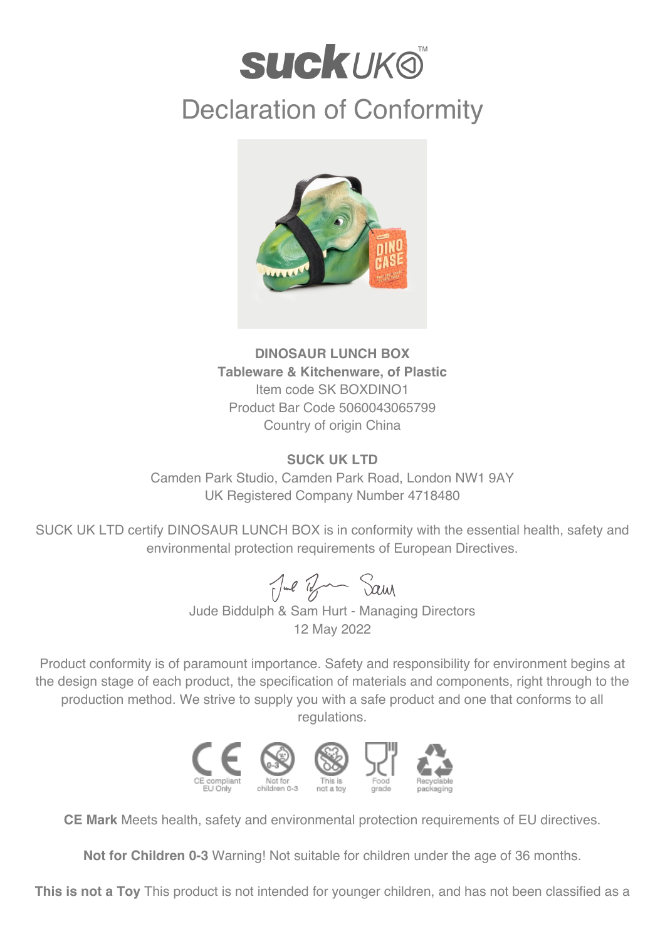## **SUCKUKO** Declaration of Conformity



**DINOSAUR LUNCH BOX Tableware & Kitchenware, of Plastic** Item code SK BOXDINO1 Product Bar Code 5060043065799 Country of origin China

## **SUCK UK LTD**

Camden Park Studio, Camden Park Road, London NW1 9AY UK Registered Company Number 4718480

SUCK UK LTD certify DINOSAUR LUNCH BOX is in conformity with the essential health, safety and environmental protection requirements of European Directives.

Jul Ban Sam

Jude Biddulph & Sam Hurt - Managing Directors 12 May 2022

Product conformity is of paramount importance. Safety and responsibility for environment begins at the design stage of each product, the specification of materials and components, right through to the production method. We strive to supply you with a safe product and one that conforms to all regulations.



**CE Mark** Meets health, safety and environmental protection requirements of EU directives.

**Not for Children 0-3** Warning! Not suitable for children under the age of 36 months.

**This is not a Toy** This product is not intended for younger children, and has not been classified as a